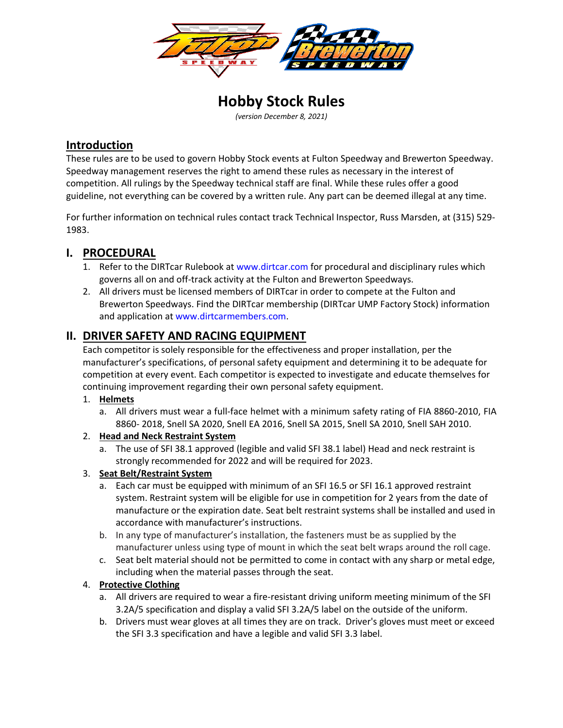

**Hobby Stock Rules** *(version December 8, 2021)*

# **Introduction**

These rules are to be used to govern Hobby Stock events at Fulton Speedway and Brewerton Speedway. Speedway management reserves the right to amend these rules as necessary in the interest of competition. All rulings by the Speedway technical staff are final. While these rules offer a good guideline, not everything can be covered by a written rule. Any part can be deemed illegal at any time.

For further information on technical rules contact track Technical Inspector, Russ Marsden, at (315) 529- 1983.

# **I. PROCEDURAL**

- 1. Refer to the DIRTcar Rulebook at [www.dirtcar.com](http://www.dirtcar.com/) for procedural and disciplinary rules which governs all on and off-track activity at the Fulton and Brewerton Speedways.
- 2. All drivers must be licensed members of DIRTcar in order to compete at the Fulton and Brewerton Speedways. Find the DIRTcar membership (DIRTcar UMP Factory Stock) information and application at [www.dirtcarmembers.com.](http://www.dirtcarmembers.com/)

# **II. DRIVER SAFETY AND RACING EQUIPMENT**

Each competitor is solely responsible for the effectiveness and proper installation, per the manufacturer's specifications, of personal safety equipment and determining it to be adequate for competition at every event. Each competitor is expected to investigate and educate themselves for continuing improvement regarding their own personal safety equipment.

#### 1. **Helmets**

a. All drivers must wear a full-face helmet with a minimum safety rating of FIA 8860-2010, FIA 8860- 2018, Snell SA 2020, Snell EA 2016, Snell SA 2015, Snell SA 2010, Snell SAH 2010.

# 2. **Head and Neck Restraint System**

a. The use of SFI 38.1 approved (legible and valid SFI 38.1 label) Head and neck restraint is strongly recommended for 2022 and will be required for 2023.

# 3. **Seat Belt/Restraint System**

- a. Each car must be equipped with minimum of an SFI 16.5 or SFI 16.1 approved restraint system. Restraint system will be eligible for use in competition for 2 years from the date of manufacture or the expiration date. Seat belt restraint systems shall be installed and used in accordance with manufacturer's instructions.
- b. In any type of manufacturer's installation, the fasteners must be as supplied by the manufacturer unless using type of mount in which the seat belt wraps around the roll cage.
- c. Seat belt material should not be permitted to come in contact with any sharp or metal edge, including when the material passes through the seat.

# 4. **Protective Clothing**

- a. All drivers are required to wear a fire-resistant driving uniform meeting minimum of the SFI 3.2A/5 specification and display a valid SFI 3.2A/5 label on the outside of the uniform.
- b. Drivers must wear gloves at all times they are on track. Driver's gloves must meet or exceed the SFI 3.3 specification and have a legible and valid SFI 3.3 label.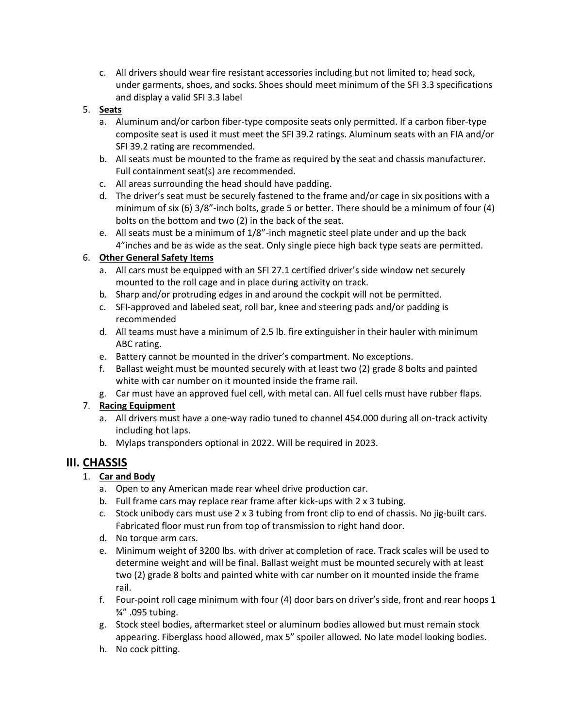c. All drivers should wear fire resistant accessories including but not limited to; head sock, under garments, shoes, and socks. Shoes should meet minimum of the SFI 3.3 specifications and display a valid SFI 3.3 label

#### 5. **Seats**

- a. Aluminum and/or carbon fiber-type composite seats only permitted. If a carbon fiber-type composite seat is used it must meet the SFI 39.2 ratings. Aluminum seats with an FIA and/or SFI 39.2 rating are recommended.
- b. All seats must be mounted to the frame as required by the seat and chassis manufacturer. Full containment seat(s) are recommended.
- c. All areas surrounding the head should have padding.
- d. The driver's seat must be securely fastened to the frame and/or cage in six positions with a minimum of six (6) 3/8"-inch bolts, grade 5 or better. There should be a minimum of four (4) bolts on the bottom and two (2) in the back of the seat.
- e. All seats must be a minimum of 1/8"-inch magnetic steel plate under and up the back 4"inches and be as wide as the seat. Only single piece high back type seats are permitted.

#### 6. **Other General Safety Items**

- a. All cars must be equipped with an SFI 27.1 certified driver's side window net securely mounted to the roll cage and in place during activity on track.
- b. Sharp and/or protruding edges in and around the cockpit will not be permitted.
- c. SFI-approved and labeled seat, roll bar, knee and steering pads and/or padding is recommended
- d. All teams must have a minimum of 2.5 lb. fire extinguisher in their hauler with minimum ABC rating.
- e. Battery cannot be mounted in the driver's compartment. No exceptions.
- f. Ballast weight must be mounted securely with at least two (2) grade 8 bolts and painted white with car number on it mounted inside the frame rail.
- g. Car must have an approved fuel cell, with metal can. All fuel cells must have rubber flaps.

#### 7. **Racing Equipment**

- a. All drivers must have a one-way radio tuned to channel 454.000 during all on-track activity including hot laps.
- b. Mylaps transponders optional in 2022. Will be required in 2023.

# **III. CHASSIS**

#### 1. **Car and Body**

- a. Open to any American made rear wheel drive production car.
- b. Full frame cars may replace rear frame after kick-ups with 2 x 3 tubing.
- c. Stock unibody cars must use 2 x 3 tubing from front clip to end of chassis. No jig-built cars. Fabricated floor must run from top of transmission to right hand door.
- d. No torque arm cars.
- e. Minimum weight of 3200 lbs. with driver at completion of race. Track scales will be used to determine weight and will be final. Ballast weight must be mounted securely with at least two (2) grade 8 bolts and painted white with car number on it mounted inside the frame rail.
- f. Four-point roll cage minimum with four (4) door bars on driver's side, front and rear hoops 1 ¾" .095 tubing.
- g. Stock steel bodies, aftermarket steel or aluminum bodies allowed but must remain stock appearing. Fiberglass hood allowed, max 5" spoiler allowed. No late model looking bodies.
- h. No cock pitting.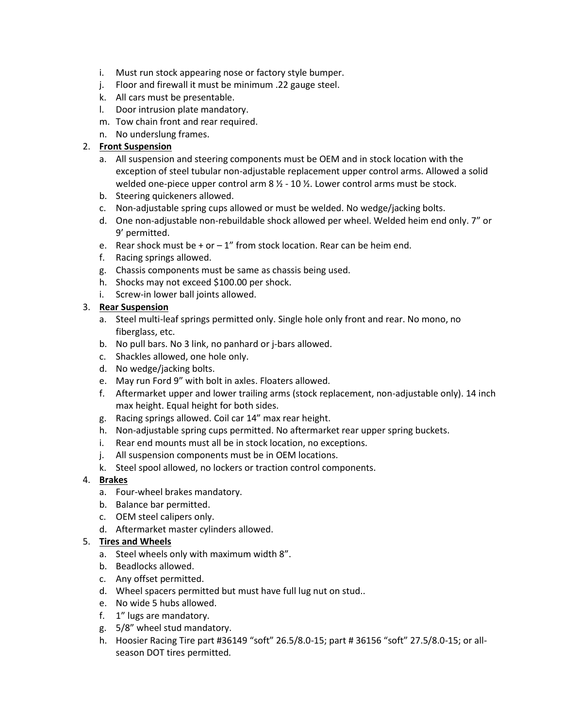- i. Must run stock appearing nose or factory style bumper.
- j. Floor and firewall it must be minimum .22 gauge steel.
- k. All cars must be presentable.
- l. Door intrusion plate mandatory.
- m. Tow chain front and rear required.
- n. No underslung frames.

#### 2. **Front Suspension**

- a. All suspension and steering components must be OEM and in stock location with the exception of steel tubular non-adjustable replacement upper control arms. Allowed a solid welded one-piece upper control arm  $8 \frac{1}{2}$  - 10  $\frac{1}{2}$ . Lower control arms must be stock.
- b. Steering quickeners allowed.
- c. Non-adjustable spring cups allowed or must be welded. No wedge/jacking bolts.
- d. One non-adjustable non-rebuildable shock allowed per wheel. Welded heim end only. 7" or 9' permitted.
- e. Rear shock must be  $+$  or  $-1$ " from stock location. Rear can be heim end.
- f. Racing springs allowed.
- g. Chassis components must be same as chassis being used.
- h. Shocks may not exceed \$100.00 per shock.
- i. Screw-in lower ball joints allowed.

#### 3. **Rear Suspension**

- a. Steel multi-leaf springs permitted only. Single hole only front and rear. No mono, no fiberglass, etc.
- b. No pull bars. No 3 link, no panhard or j-bars allowed.
- c. Shackles allowed, one hole only.
- d. No wedge/jacking bolts.
- e. May run Ford 9" with bolt in axles. Floaters allowed.
- f. Aftermarket upper and lower trailing arms (stock replacement, non-adjustable only). 14 inch max height. Equal height for both sides.
- g. Racing springs allowed. Coil car 14" max rear height.
- h. Non-adjustable spring cups permitted. No aftermarket rear upper spring buckets.
- i. Rear end mounts must all be in stock location, no exceptions.
- j. All suspension components must be in OEM locations.
- k. Steel spool allowed, no lockers or traction control components.

#### 4. **Brakes**

- a. Four-wheel brakes mandatory.
- b. Balance bar permitted.
- c. OEM steel calipers only.
- d. Aftermarket master cylinders allowed.

#### 5. **Tires and Wheels**

- a. Steel wheels only with maximum width 8".
- b. Beadlocks allowed.
- c. Any offset permitted.
- d. Wheel spacers permitted but must have full lug nut on stud..
- e. No wide 5 hubs allowed.
- f. 1" lugs are mandatory.
- g. 5/8" wheel stud mandatory.
- h. Hoosier Racing Tire part #36149 "soft" 26.5/8.0-15; part # 36156 "soft" 27.5/8.0-15; or allseason DOT tires permitted.